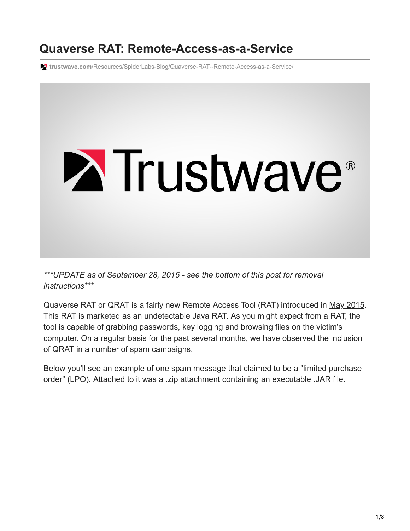# **Quaverse RAT: Remote-Access-as-a-Service**

**trustwave.com**[/Resources/SpiderLabs-Blog/Quaverse-RAT--Remote-Access-as-a-Service/](https://www.trustwave.com/Resources/SpiderLabs-Blog/Quaverse-RAT--Remote-Access-as-a-Service/)



*\*\*\*UPDATE as of September 28, 2015 - see the bottom of this post for removal instructions\*\*\**

Quaverse RAT or QRAT is a fairly new Remote Access Tool (RAT) introduced in [May 2015](https://www.youtube.com/watch?v=kD1wKljeuqc). This RAT is marketed as an undetectable Java RAT. As you might expect from a RAT, the tool is capable of grabbing passwords, key logging and browsing files on the victim's computer. On a regular basis for the past several months, we have observed the inclusion of QRAT in a number of spam campaigns.

Below you'll see an example of one spam message that claimed to be a "limited purchase order" (LPO). Attached to it was a .zip attachment containing an executable .JAR file.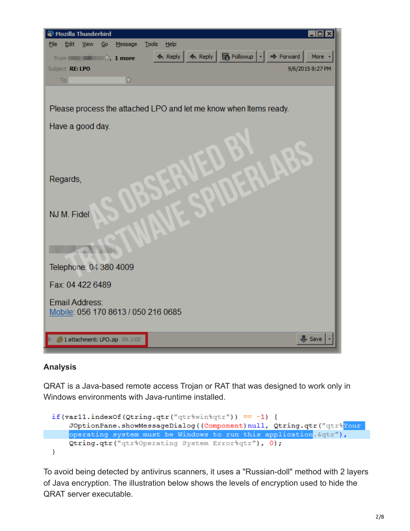| <b>Mozilla Thunderbird</b><br>П                                                              |
|----------------------------------------------------------------------------------------------|
| Tools<br>Help<br><b>File</b><br>Edit<br>View<br>Message<br>Go                                |
| ← Reply   ← Reply   B Followup   ·   → Forward  <br>More<br>From <b>House Book</b> 1, 1 more |
| Subject RE: LPO<br>9/6/2015 8:27 PM                                                          |
| $\Omega$<br>To:                                                                              |
|                                                                                              |
| Please process the attached LPO and let me know when Items ready.                            |
| Have a good day.                                                                             |
|                                                                                              |
| Regards,                                                                                     |
| NJ M. Fidel                                                                                  |
| Telephone: 04 380 4009                                                                       |
| Fax: 04 422 6489                                                                             |
| <b>Email Address:</b><br>Mobile: 056 170 8613 / 050 216 0685                                 |
| $\sqrt{\phantom{a}}$ Save<br>4 1 attachment: LPO.zip 89.3 KB                                 |

#### **Analysis**

QRAT is a Java-based remote access Trojan or RAT that was designed to work only in Windows environments with Java-runtime installed.

if(var11.indexOf(Qtring.qtr("qtr%win%qtr")) == -1) { JOptionPane.showMessageDialog((Component)null, Qtring.qtr("qtr%Your operating system must be Windows to run this application. & qtr"), Qtring.qtr("qtr%Operating System Error%qtr"), 0);  $\mathbf{r}$ 

To avoid being detected by antivirus scanners, it uses a "Russian-doll" method with 2 layers of Java encryption. The illustration below shows the levels of encryption used to hide the QRAT server executable.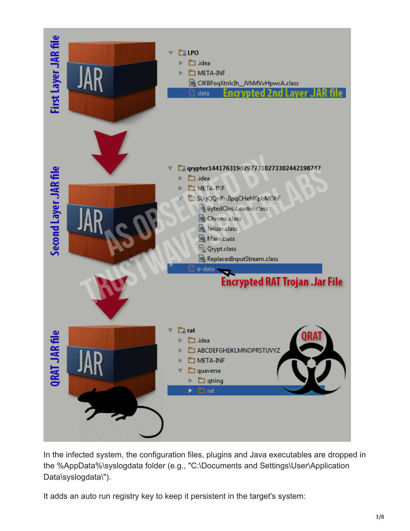

In the infected system, the configuration files, plugins and Java executables are dropped in the %AppData%\syslogdata folder (e.g., "C:\Documents and Settings\User\Application Data\syslogdata\").

It adds an auto run registry key to keep it persistent in the target's system: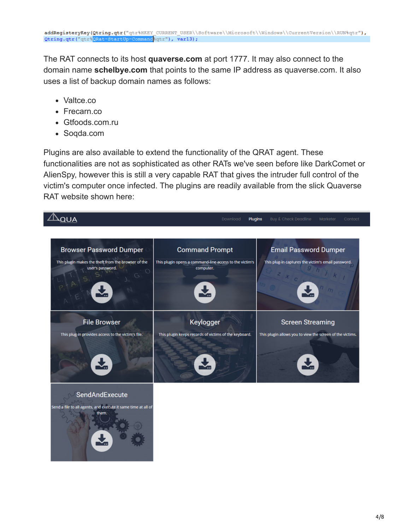The RAT connects to its host **quaverse.com** at port 1777. It may also connect to the domain name **schelbye.com** that points to the same IP address as quaverse.com. It also uses a list of backup domain names as follows:

- Valtce.co
- Frecarn.co
- Gtfoods.com.ru
- Soqda.com

Plugins are also available to extend the functionality of the QRAT agent. These functionalities are not as sophisticated as other RATs we've seen before like DarkComet or AlienSpy, however this is still a very capable RAT that gives the intruder full control of the victim's computer once infected. The plugins are readily available from the slick Quaverse RAT website shown here:

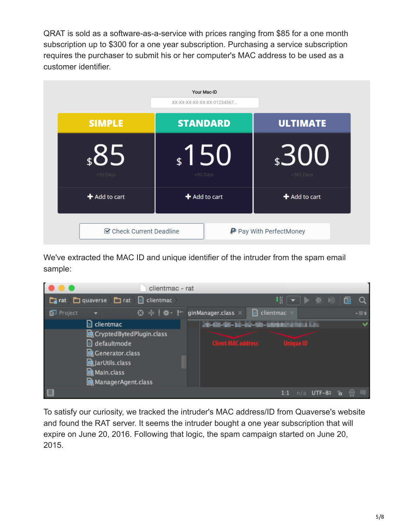QRAT is sold as a software-as-a-service with prices ranging from \$85 for a one month subscription up to \$300 for a one year subscription. Purchasing a service subscription requires the purchaser to submit his or her computer's MAC address to be used as a customer identifier.



We've extracted the MAC ID and unique identifier of the intruder from the spam email sample:



To satisfy our curiosity, we tracked the intruder's MAC address/ID from Quaverse's website and found the RAT server. It seems the intruder bought a one year subscription that will expire on June 20, 2016. Following that logic, the spam campaign started on June 20, 2015.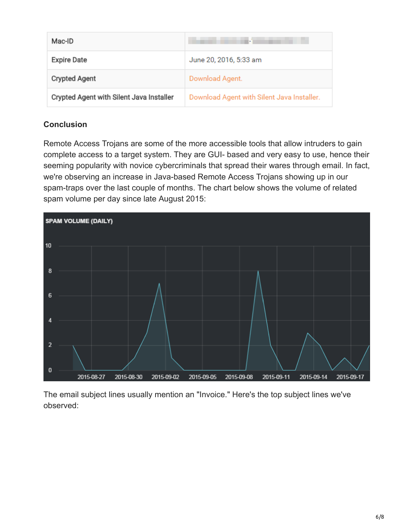| Mac-ID                                   |                                            |
|------------------------------------------|--------------------------------------------|
| <b>Expire Date</b>                       | June 20, 2016, 5:33 am                     |
| <b>Crypted Agent</b>                     | Download Agent.                            |
| Crypted Agent with Silent Java Installer | Download Agent with Silent Java Installer. |

## **Conclusion**

Remote Access Trojans are some of the more accessible tools that allow intruders to gain complete access to a target system. They are GUI- based and very easy to use, hence their seeming popularity with novice cybercriminals that spread their wares through email. In fact, we're observing an increase in Java-based Remote Access Trojans showing up in our spam-traps over the last couple of months. The chart below shows the volume of related spam volume per day since late August 2015:



The email subject lines usually mention an "Invoice." Here's the top subject lines we've observed: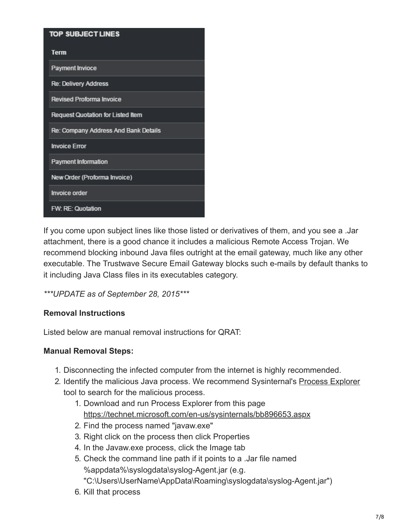| <b>TOP SUBJECT LINES</b>                 |
|------------------------------------------|
| <b>Term</b>                              |
| Payment Invioce                          |
| <b>Re: Delivery Address</b>              |
| <b>Revised Proforma Invoice</b>          |
| <b>Request Quotation for Listed Item</b> |
| Re: Company Address And Bank Details     |
| <b>Invoice Error</b>                     |
| <b>Payment Information</b>               |
| New Order (Proforma Invoice)             |
| <b>Invoice order</b>                     |
| <b>FW: RE: Quotation</b>                 |

If you come upon subject lines like those listed or derivatives of them, and you see a .Jar attachment, there is a good chance it includes a malicious Remote Access Trojan. We recommend blocking inbound Java files outright at the email gateway, much like any other executable. The Trustwave Secure Email Gateway blocks such e-mails by default thanks to it including Java Class files in its executables category.

## *\*\*\*UPDATE as of September 28, 2015\*\*\**

#### **Removal Instructions**

Listed below are manual removal instructions for QRAT:

## **Manual Removal Steps:**

- 1. Disconnecting the infected computer from the internet is highly recommended.
- 2. Identify the malicious Java process. We recommend Sysinternal's [Process Explorer](https://technet.microsoft.com/en-us/sysinternals/bb896653.aspx) tool to search for the malicious process.
	- 1. Download and run Process Explorer from this page <https://technet.microsoft.com/en-us/sysinternals/bb896653.aspx>
	- 2. Find the process named "javaw.exe"
	- 3. Right click on the process then click Properties
	- 4. In the Javaw.exe process, click the Image tab
	- 5. Check the command line path if it points to a .Jar file named %appdata%\syslogdata\syslog-Agent.jar (e.g. "C:\Users\UserName\AppData\Roaming\syslogdata\syslog-Agent.jar")
	- 6. Kill that process